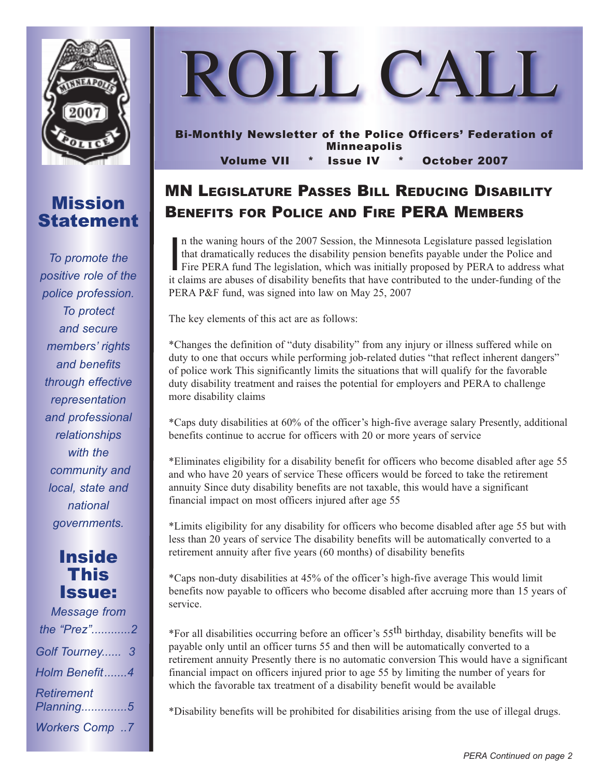

### Mission Statement

*To promote the positive role of the police profession. To protect and secure members' rights and benefits through effective representation and professional relationships with the community and local, state and national governments.*

### Inside This Issue:

| <b>Message from</b>            |  |
|--------------------------------|--|
| the "Prez"2                    |  |
| Golf Tourney 3                 |  |
| Holm Benefit4                  |  |
| <b>Retirement</b><br>Planning5 |  |
| <b>Workers Comp7</b>           |  |



# MN LEGISLATURE PASSES BILL REDUCING DISABILITY BENEFITS FOR POLICE AND FIRE PERA MEMBERS

 $\frac{1}{2}$ n the waning hours of the 2007 Session, the Minnesota Legislature passed legislation that dramatically reduces the disability pension benefits payable under the Police and Fire PERA fund The legislation, which was initially proposed by PERA to address what it claims are abuses of disability benefits that have contributed to the under-funding of the PERA P&F fund, was signed into law on May 25, 2007

The key elements of this act are as follows:

\*Changes the definition of "duty disability" from any injury or illness suffered while on duty to one that occurs while performing job-related duties "that reflect inherent dangers" of police work This significantly limits the situations that will qualify for the favorable duty disability treatment and raises the potential for employers and PERA to challenge more disability claims

\*Caps duty disabilities at 60% of the officer's high-five average salary Presently, additional benefits continue to accrue for officers with 20 or more years of service

\*Eliminates eligibility for a disability benefit for officers who become disabled after age 55 and who have 20 years of service These officers would be forced to take the retirement annuity Since duty disability benefits are not taxable, this would have a significant financial impact on most officers injured after age 55

\*Limits eligibility for any disability for officers who become disabled after age 55 but with less than 20 years of service The disability benefits will be automatically converted to a retirement annuity after five years (60 months) of disability benefits

\*Caps non-duty disabilities at 45% of the officer's high-five average This would limit benefits now payable to officers who become disabled after accruing more than 15 years of service.

\*For all disabilities occurring before an officer's 55th birthday, disability benefits will be payable only until an officer turns 55 and then will be automatically converted to a retirement annuity Presently there is no automatic conversion This would have a significant financial impact on officers injured prior to age 55 by limiting the number of years for which the favorable tax treatment of a disability benefit would be available

\*Disability benefits will be prohibited for disabilities arising from the use of illegal drugs.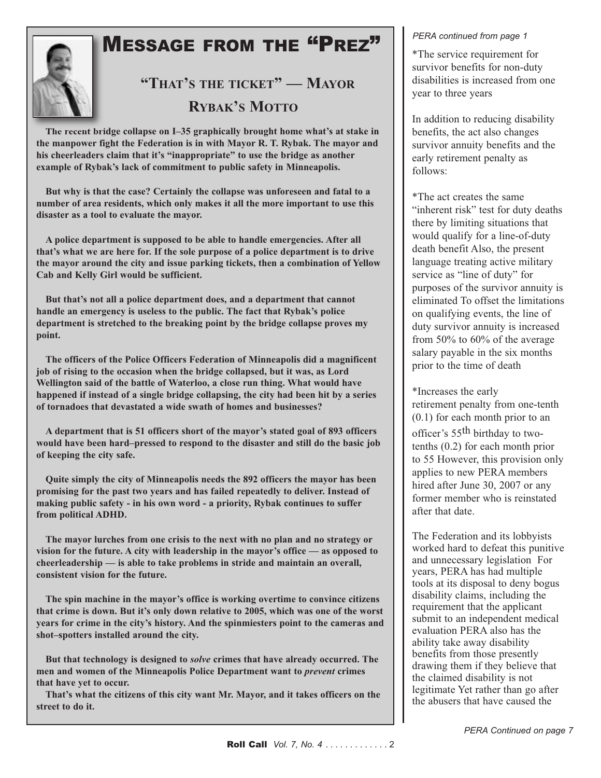

# MESSAGE FROM THE "PREZ"

**"THAT'S THE TICKET" — MAYOR RYBAK'S MOTTO**

**The recent bridge collapse on I–35 graphically brought home what's at stake in the manpower fight the Federation is in with Mayor R. T. Rybak. The mayor and his cheerleaders claim that it's "inappropriate" to use the bridge as another example of Rybak's lack of commitment to public safety in Minneapolis.**

**But why is that the case? Certainly the collapse was unforeseen and fatal to a number of area residents, which only makes it all the more important to use this disaster as a tool to evaluate the mayor.**

**A police department is supposed to be able to handle emergencies. After all that's what we are here for. If the sole purpose of a police department is to drive the mayor around the city and issue parking tickets, then a combination of Yellow Cab and Kelly Girl would be sufficient.**

**But that's not all a police department does, and a department that cannot handle an emergency is useless to the public. The fact that Rybak's police department is stretched to the breaking point by the bridge collapse proves my point.**

**The officers of the Police Officers Federation of Minneapolis did a magnificent job of rising to the occasion when the bridge collapsed, but it was, as Lord Wellington said of the battle of Waterloo, a close run thing. What would have happened if instead of a single bridge collapsing, the city had been hit by a series of tornadoes that devastated a wide swath of homes and businesses?**

**A department that is 51 officers short of the mayor's stated goal of 893 officers would have been hard–pressed to respond to the disaster and still do the basic job of keeping the city safe.**

**Quite simply the city of Minneapolis needs the 892 officers the mayor has been promising for the past two years and has failed repeatedly to deliver. Instead of making public safety - in his own word - a priority, Rybak continues to suffer from political ADHD.**

**The mayor lurches from one crisis to the next with no plan and no strategy or vision for the future. A city with leadership in the mayor's office — as opposed to cheerleadership — is able to take problems in stride and maintain an overall, consistent vision for the future.**

**The spin machine in the mayor's office is working overtime to convince citizens that crime is down. But it's only down relative to 2005, which was one of the worst years for crime in the city's history. And the spinmiesters point to the cameras and shot–spotters installed around the city.**

**But that technology is designed to** *solve* **crimes that have already occurred. The men and women of the Minneapolis Police Department want to** *prevent* **crimes that have yet to occur.**

**That's what the citizens of this city want Mr. Mayor, and it takes officers on the street to do it.**

#### *PERA continued from page 1*

\*The service requirement for survivor benefits for non-duty disabilities is increased from one year to three years

In addition to reducing disability benefits, the act also changes survivor annuity benefits and the early retirement penalty as follows:

\*The act creates the same "inherent risk" test for duty deaths there by limiting situations that would qualify for a line-of-duty death benefit Also, the present language treating active military service as "line of duty" for purposes of the survivor annuity is eliminated To offset the limitations on qualifying events, the line of duty survivor annuity is increased from 50% to 60% of the average salary payable in the six months prior to the time of death

\*Increases the early retirement penalty from one-tenth (0.1) for each month prior to an officer's 55<sup>th</sup> birthday to twotenths (0.2) for each month prior to 55 However, this provision only applies to new PERA members hired after June 30, 2007 or any former member who is reinstated after that date.

The Federation and its lobbyists worked hard to defeat this punitive and unnecessary legislation For years, PERA has had multiple tools at its disposal to deny bogus disability claims, including the requirement that the applicant submit to an independent medical evaluation PERA also has the ability take away disability benefits from those presently drawing them if they believe that the claimed disability is not legitimate Yet rather than go after the abusers that have caused the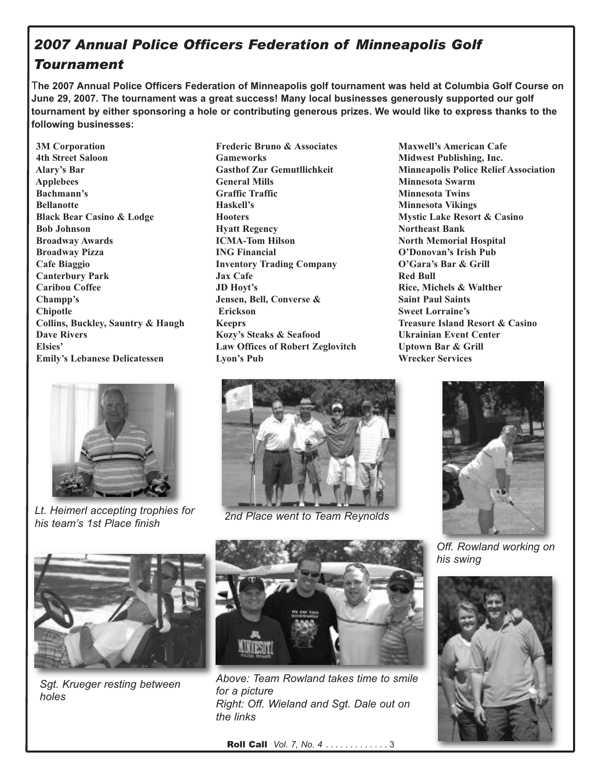### *2007 Annual Police Officers Federation of Minneapolis Golf Tournament*

The 2007 Annual Police Officers Federation of Minneapolis golf tournament was held at Columbia Golf Course on **June 29, 2007. The tournament was a great success! Many local businesses generously supported our golf** tournament by either sponsoring a hole or contributing generous prizes. We would like to express thanks to the **following businesses:**

**3M Corporation 4th Street Saloon Alary's Bar Applebees Bachmann's Bellanotte Black Bear Casino & Lodge Bob Johnson Broadway Awards Broadway Pizza Cafe Biaggio Canterbury Park Caribou Coffee Champp's Chipotle Collins, Buckley, Sauntry & Haugh Dave Rivers Elsies' Emily's Lebanese Delicatessen**



*Lt. Heimerl accepting trophies for his team's 1st Place finish 2nd Place went to Team Reynolds*

**Frederic Bruno & Associates Gameworks Gasthof Zur Gemutllichkeit General Mills Graffic Traffic Haskell's Hooters Hyatt Regency ICMA-Tom Hilson ING Financial Inventory Trading Company Jax Cafe JD Hoyt's Jensen, Bell, Converse & Erickson Keeprs Kozy's Steaks & Seafood Law Offices of Robert Zeglovitch Lyon's Pub**

**Maxwell's American Cafe Midwest Publishing, Inc. Minneapolis Police Relief Association Minnesota Swarm Minnesota Twins Minnesota Vikings Mystic Lake Resort & Casino Northeast Bank North Memorial Hospital O'Donovan's Irish Pub O'Gara's Bar & Grill Red Bull Rice, Michels & Walther Saint Paul Saints Sweet Lorraine's Treasure Island Resort & Casino Ukrainian Event Center Uptown Bar & Grill Wrecker Services**





*Off. Rowland working on his swing*





*Sgt. Krueger resting between holes*



*Above: Team Rowland takes time to smile for a picture Right: Off. Wieland and Sgt. Dale out on the links*

Roll Call *Vol. 7, No. 4* . . . . . . . . . . . . . 3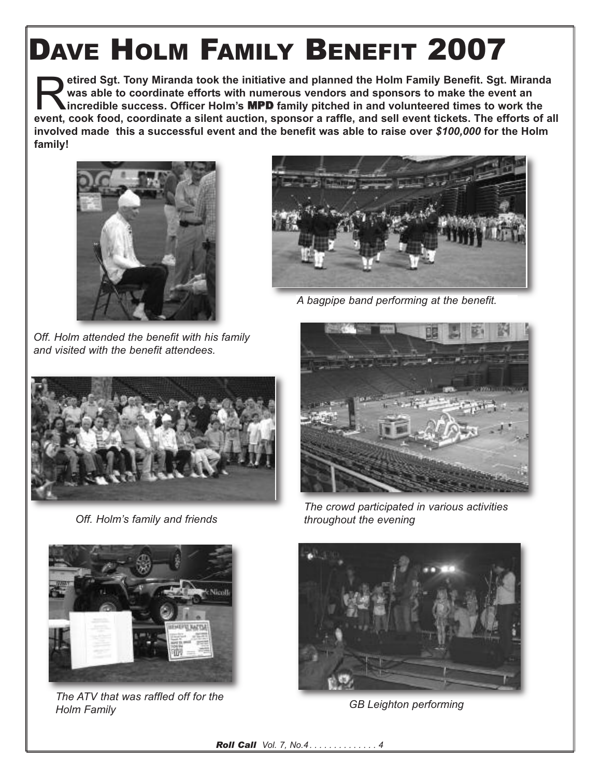# DAVE HOLM FAMILY BENEFIT 2007

R**etired Sgt. Tony Miranda took the initiative and planned the Holm Family Benefit. Sgt. Miranda was able to coordinate efforts with numerous vendors and sponsors to make the event an incredible success. Officer Holm's** MPD **family pitched in and volunteered times to work the** event, cook food, coordinate a silent auction, sponsor a raffle, and sell event tickets. The efforts of all **involved made this a successful event and the benefit was able to raise over** *\$100,000* **for the Holm family!**



*Off. Holm attended the benefit with his family and visited with the benefit attendees.*



*A bagpipe band performing at the benefit.*



*Off. Holm's family and friends*



*The crowd participated in various activities throughout the evening*



*The ATV that was raffled off for the Holm Family GB Leighton performing*



*Roll Call Vol. 7, No.4 . . . . . . . . . . . . . . 4*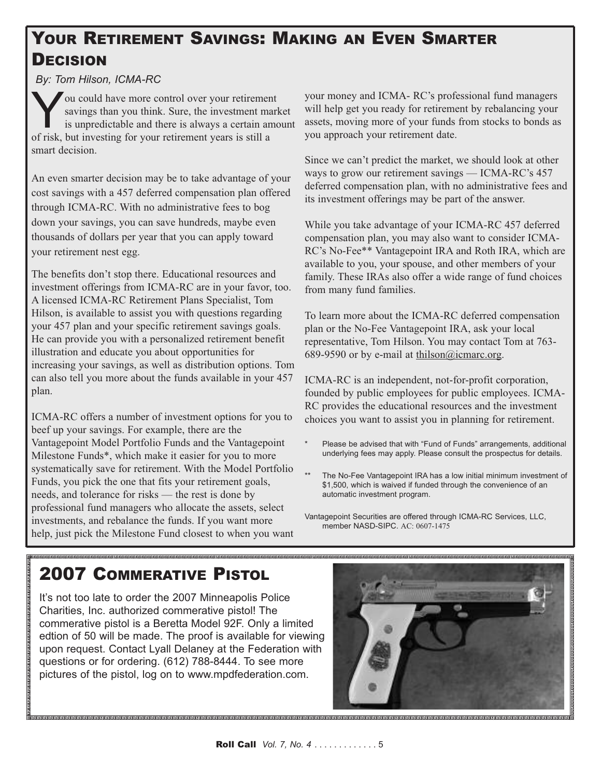## YOUR RETIREMENT SAVINGS: MAKING AN EVEN SMARTER **DECISION**

*By: Tom Hilson, ICMA-RC*

Sou could have more control over your retirement<br>savings than you think. Sure, the investment man<br>is unpredictable and there is always a certain am<br>of risk but investing for your retirement years is still a savings than you think. Sure, the investment market is unpredictable and there is always a certain amount of risk, but investing for your retirement years is still a smart decision.

An even smarter decision may be to take advantage of your cost savings with a 457 deferred compensation plan offered through ICMA-RC. With no administrative fees to bog down your savings, you can save hundreds, maybe even thousands of dollars per year that you can apply toward your retirement nest egg.

The benefits don't stop there. Educational resources and investment offerings from ICMA-RC are in your favor, too. A licensed ICMA-RC Retirement Plans Specialist, Tom Hilson, is available to assist you with questions regarding your 457 plan and your specific retirement savings goals. He can provide you with a personalized retirement benefit illustration and educate you about opportunities for increasing your savings, as well as distribution options. Tom can also tell you more about the funds available in your 457 plan.

ICMA-RC offers a number of investment options for you to beef up your savings. For example, there are the Vantagepoint Model Portfolio Funds and the Vantagepoint Milestone Funds\*, which make it easier for you to more systematically save for retirement. With the Model Portfolio Funds, you pick the one that fits your retirement goals, needs, and tolerance for risks — the rest is done by professional fund managers who allocate the assets, select investments, and rebalance the funds. If you want more help, just pick the Milestone Fund closest to when you want

your money and ICMA- RC's professional fund managers will help get you ready for retirement by rebalancing your assets, moving more of your funds from stocks to bonds as you approach your retirement date.

Since we can't predict the market, we should look at other ways to grow our retirement savings — ICMA-RC's 457 deferred compensation plan, with no administrative fees and its investment offerings may be part of the answer.

While you take advantage of your ICMA-RC 457 deferred compensation plan, you may also want to consider ICMA-RC's No-Fee\*\* Vantagepoint IRA and Roth IRA, which are available to you, your spouse, and other members of your family. These IRAs also offer a wide range of fund choices from many fund families.

To learn more about the ICMA-RC deferred compensation plan or the No-Fee Vantagepoint IRA, ask your local representative, Tom Hilson. You may contact Tom at 763- 689-9590 or by e-mail at thilson@icmarc.org.

ICMA-RC is an independent, not-for-profit corporation, founded by public employees for public employees. ICMA-RC provides the educational resources and the investment choices you want to assist you in planning for retirement.

- Please be advised that with "Fund of Funds" arrangements, additional underlying fees may apply. Please consult the prospectus for details.
- \*\* The No-Fee Vantagepoint IRA has a low initial minimum investment of \$1,500, which is waived if funded through the convenience of an automatic investment program.

Vantagepoint Securities are offered through ICMA-RC Services, LLC, member NASD-SIPC. AC: 0607-1475

# 2007 COMMERATIVE PISTOL

It's not too late to order the 2007 Minneapolis Police Charities, Inc. authorized commerative pistol! The commerative pistol is a Beretta Model 92F. Only a limited edtion of 50 will be made. The proof is available for viewing upon request. Contact Lyall Delaney at the Federation with questions or for ordering. (612) 788-8444. To see more pictures of the pistol, log on to www.mpdfederation.com.

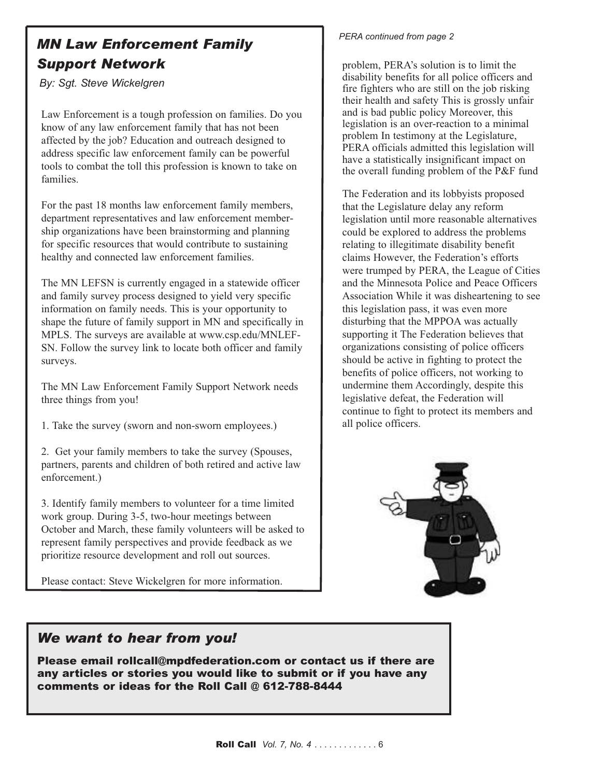### *MN Law Enforcement Family Support Network*

*By: Sgt. Steve Wickelgren*

Law Enforcement is a tough profession on families. Do you know of any law enforcement family that has not been affected by the job? Education and outreach designed to address specific law enforcement family can be powerful tools to combat the toll this profession is known to take on families.

For the past 18 months law enforcement family members, department representatives and law enforcement membership organizations have been brainstorming and planning for specific resources that would contribute to sustaining healthy and connected law enforcement families.

The MN LEFSN is currently engaged in a statewide officer and family survey process designed to yield very specific information on family needs. This is your opportunity to shape the future of family support in MN and specifically in MPLS. The surveys are available at www.csp.edu/MNLEF-SN. Follow the survey link to locate both officer and family surveys.

The MN Law Enforcement Family Support Network needs three things from you!

1. Take the survey (sworn and non-sworn employees.)

2. Get your family members to take the survey (Spouses, partners, parents and children of both retired and active law enforcement.)

3. Identify family members to volunteer for a time limited work group. During 3-5, two-hour meetings between October and March, these family volunteers will be asked to represent family perspectives and provide feedback as we prioritize resource development and roll out sources.

Please contact: Steve Wickelgren for more information.

#### *PERA continued from page 2*

problem, PERA's solution is to limit the disability benefits for all police officers and fire fighters who are still on the job risking their health and safety This is grossly unfair and is bad public policy Moreover, this legislation is an over-reaction to a minimal problem In testimony at the Legislature, PERA officials admitted this legislation will have a statistically insignificant impact on the overall funding problem of the P&F fund

The Federation and its lobbyists proposed that the Legislature delay any reform legislation until more reasonable alternatives could be explored to address the problems relating to illegitimate disability benefit claims However, the Federation's efforts were trumped by PERA, the League of Cities and the Minnesota Police and Peace Officers Association While it was disheartening to see this legislation pass, it was even more disturbing that the MPPOA was actually supporting it The Federation believes that organizations consisting of police officers should be active in fighting to protect the benefits of police officers, not working to undermine them Accordingly, despite this legislative defeat, the Federation will continue to fight to protect its members and all police officers.



### *We want to hear from you!*

Please email rollcall@mpdfederation.com or contact us if there are any articles or stories you would like to submit or if you have any comments or ideas for the Roll Call @ 612-788-8444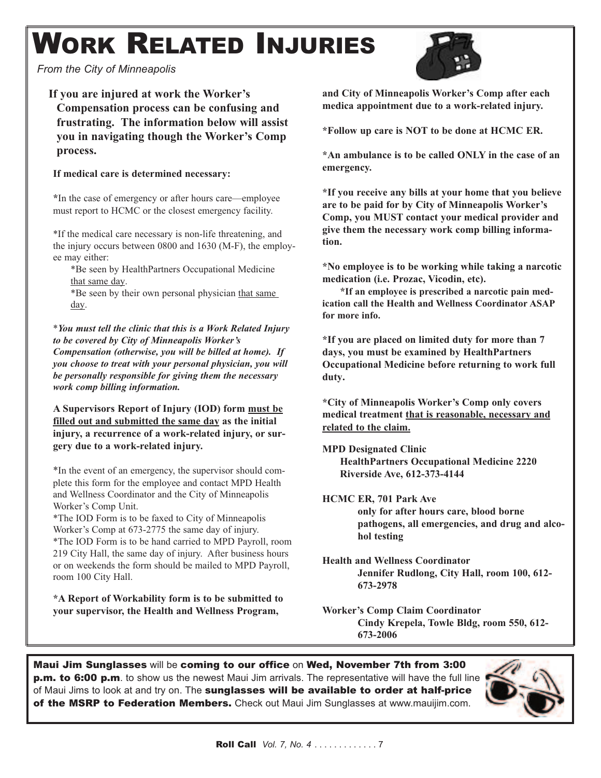# WORK RELATED INJURIES

*From the City of Minneapolis*

### **If you are injured at work the Worker's**

**Compensation process can be confusing and frustrating. The information below will assist you in navigating though the Worker's Comp process.**

#### **If medical care is determined necessary:**

**\***In the case of emergency or after hours care—employee must report to HCMC or the closest emergency facility.

\*If the medical care necessary is non-life threatening, and the injury occurs between 0800 and 1630 (M-F), the employee may either:

\*Be seen by HealthPartners Occupational Medicine that same day.

\*Be seen by their own personal physician that same day.

\**You must tell the clinic that this is a Work Related Injury to be covered by City of Minneapolis Worker's Compensation (otherwise, you will be billed at home). If you choose to treat with your personal physician, you will be personally responsible for giving them the necessary work comp billing information.*

**A Supervisors Report of Injury (IOD) form must be filled out and submitted the same day as the initial injury, a recurrence of a work-related injury, or surgery due to a work-related injury.**

\*In the event of an emergency, the supervisor should complete this form for the employee and contact MPD Health and Wellness Coordinator and the City of Minneapolis Worker's Comp Unit.

\*The IOD Form is to be faxed to City of Minneapolis Worker's Comp at 673-2775 the same day of injury. \*The IOD Form is to be hand carried to MPD Payroll, room 219 City Hall, the same day of injury. After business hours or on weekends the form should be mailed to MPD Payroll, room 100 City Hall.

**\*A Report of Workability form is to be submitted to your supervisor, the Health and Wellness Program,**

**and City of Minneapolis Worker's Comp after each medica appointment due to a work-related injury.**

**\*Follow up care is NOT to be done at HCMC ER.**

**\*An ambulance is to be called ONLY in the case of an emergency.**

**\*If you receive any bills at your home that you believe are to be paid for by City of Minneapolis Worker's Comp, you MUST contact your medical provider and give them the necessary work comp billing information.**

**\*No employee is to be working while taking a narcotic medication (i.e. Prozac, Vicodin, etc).**

**\*If an employee is prescribed a narcotic pain medication call the Health and Wellness Coordinator ASAP for more info.**

**\*If you are placed on limited duty for more than 7 days, you must be examined by HealthPartners Occupational Medicine before returning to work full duty.**

**\*City of Minneapolis Worker's Comp only covers medical treatment that is reasonable, necessary and related to the claim.**

**MPD Designated Clinic HealthPartners Occupational Medicine 2220 Riverside Ave, 612-373-4144**

#### **HCMC ER, 701 Park Ave**

**only for after hours care, blood borne pathogens, all emergencies, and drug and alcohol testing**

**Health and Wellness Coordinator Jennifer Rudlong, City Hall, room 100, 612- 673-2978**

**Worker's Comp Claim Coordinator Cindy Krepela, Towle Bldg, room 550, 612- 673-2006**

Maui Jim Sunglasses will be coming to our office on Wed, November 7th from 3:00 **p.m. to 6:00 p.m**. to show us the newest Maui Jim arrivals. The representative will have the full line of Maui Jims to look at and try on. The sunglasses will be available to order at half-price of the MSRP to Federation Members. Check out Maui Jim Sunglasses at www.mauijim.com.